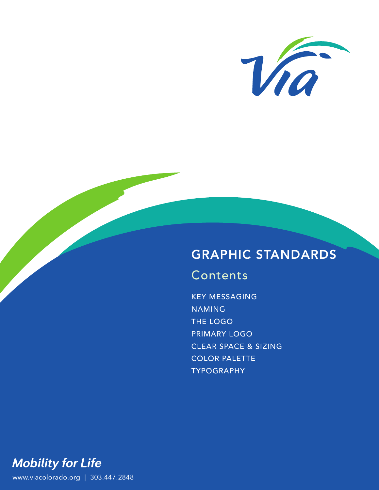

# GRAPHIC STANDARDS

# Contents

KEY MESSAGING NAMING THE LOGO PRIMARY LOGO CLEAR SPACE & SIZING COLOR PALETTE TYPOGRAPHY

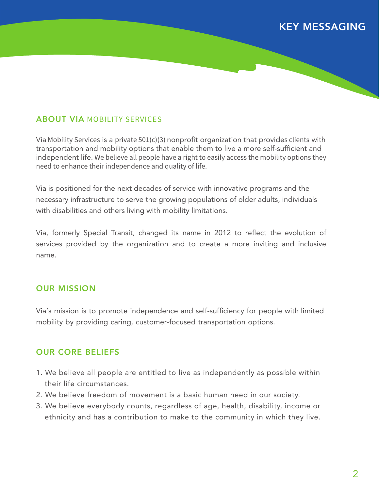## KEY MESSAGING

## ABOUT VIA MOBILITY SERVICES

Via Mobility Services is a private  $501(c)(3)$  nonprofit organization that provides clients with transportation and mobility options that enable them to live a more self-sufficient and independent life. We believe all people have a right to easily access the mobility options they need to enhance their independence and quality of life.

Via is positioned for the next decades of service with innovative programs and the necessary infrastructure to serve the growing populations of older adults, individuals with disabilities and others living with mobility limitations.

Via, formerly Special Transit, changed its name in 2012 to reflect the evolution of services provided by the organization and to create a more inviting and inclusive name.

### OUR MISSION

Via's mission is to promote independence and self-sufficiency for people with limited mobility by providing caring, customer-focused transportation options.

### OUR CORE BELIEFS

- 1. We believe all people are entitled to live as independently as possible within their life circumstances.
- 2. We believe freedom of movement is a basic human need in our society.
- 3. We believe everybody counts, regardless of age, health, disability, income or ethnicity and has a contribution to make to the community in which they live.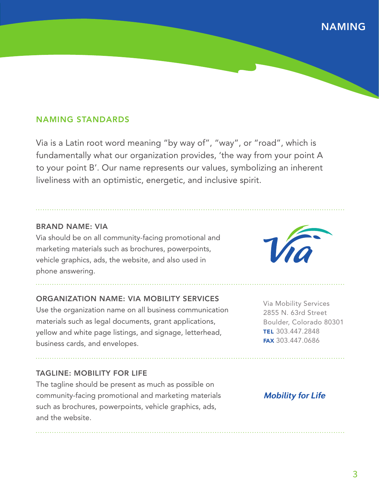## NAMING

## NAMING STANDARDS

Via is a Latin root word meaning "by way of", "way", or "road", which is fundamentally what our organization provides, 'the way from your point A to your point B'. Our name represents our values, symbolizing an inherent liveliness with an optimistic, energetic, and inclusive spirit.

#### BRAND NAME: VIA

Via should be on all community-facing promotional and marketing materials such as brochures, powerpoints, vehicle graphics, ads, the website, and also used in phone answering.

### ORGANIZATION NAME: VIA MOBILITY SERVICES

Use the organization name on all business communication materials such as legal documents, grant applications, yellow and white page listings, and signage, letterhead, business cards, and envelopes.

### TAGLINE: MOBILITY FOR LIFE

The tagline should be present as much as possible on community-facing promotional and marketing materials such as brochures, powerpoints, vehicle graphics, ads, and the website.



Via Mobility Services 2855 N. 63rd Street Boulder, Colorado 80301 TEL 303.447.2848 FAX 303.447.0686

## **Mobility for Life**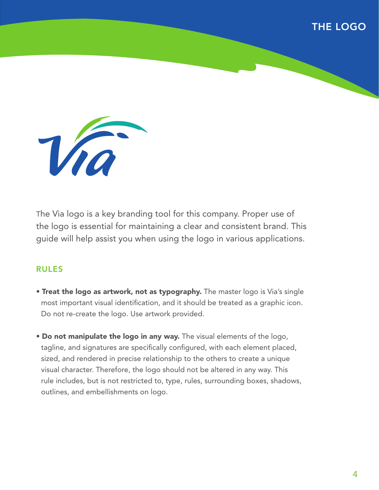## THE LOGO



The Via logo is a key branding tool for this company. Proper use of the logo is essential for maintaining a clear and consistent brand. This guide will help assist you when using the logo in various applications.

### RULES

- Treat the logo as artwork, not as typography. The master logo is Via's single most important visual identification, and it should be treated as a graphic icon. Do not re-create the logo. Use artwork provided.
- Do not manipulate the logo in any way. The visual elements of the logo, tagline, and signatures are specifically configured, with each element placed, sized, and rendered in precise relationship to the others to create a unique visual character. Therefore, the logo should not be altered in any way. This rule includes, but is not restricted to, type, rules, surrounding boxes, shadows, outlines, and embellishments on logo.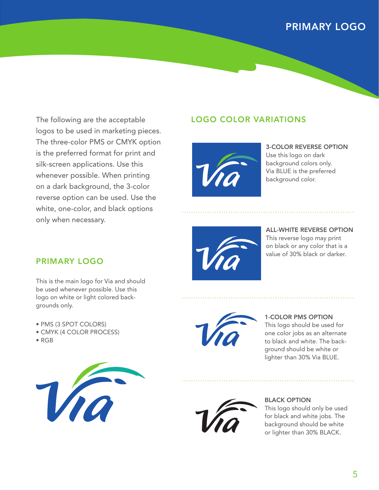## PRIMARY LOGO

The following are the acceptable logos to be used in marketing pieces. The three-color PMS or CMYK option is the preferred format for print and silk-screen applications. Use this whenever possible. When printing on a dark background, the 3-color reverse option can be used. Use the white, one-color, and black options only when necessary.

## LOGO COLOR VARIATIONS



3-COLOR REVERSE OPTION Use this logo on dark background colors only. Via BLUE is the preferred background color.



ALL-WHITE REVERSE OPTION This reverse logo may print on black or any color that is a value of 30% black or darker.

## PRIMARY LOGO

This is the main logo for Via and should be used whenever possible. Use this logo on white or light colored backgrounds only.

- PMS (3 SPOT COLORS)
- CMYK (4 COLOR PROCESS)
- RGB





1-COLOR PMS OPTION This logo should be used for one color jobs as an alternate to black and white. The background should be white or lighter than 30% Via BLUE.



#### BLACK OPTION

This logo should only be used for black and white jobs. The background should be white or lighter than 30% BLACK.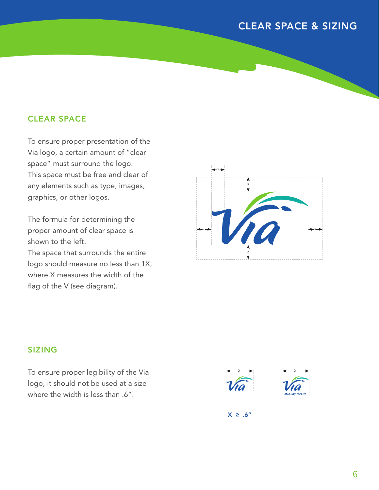## CLEAR SPACE & SIZING

## CLEAR SPACE

To ensure proper presentation of the Via logo, a certain amount of "clear space" must surround the logo. This space must be free and clear of any elements such as type, images, graphics, or other logos.

The formula for determining the proper amount of clear space is shown to the left. The space that surrounds the entire logo should measure no less than 1X; where X measures the width of the flag of the V (see diagram).



## SIZING

To ensure proper legibility of the Via logo, it should not be used at a size where the width is less than .6".





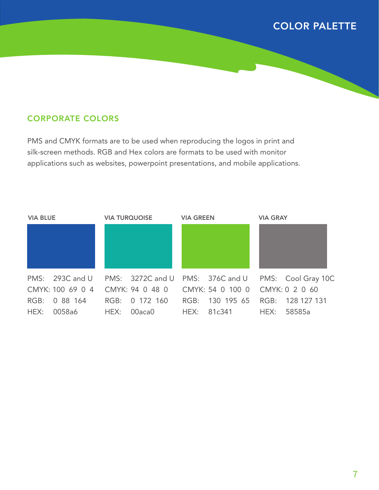## COLOR PALETTE

## CORPORATE COLORS

PMS and CMYK formats are to be used when reproducing the logos in print and silk-screen methods. RGB and Hex colors are formats to be used with monitor applications such as websites, powerpoint presentations, and mobile applications.